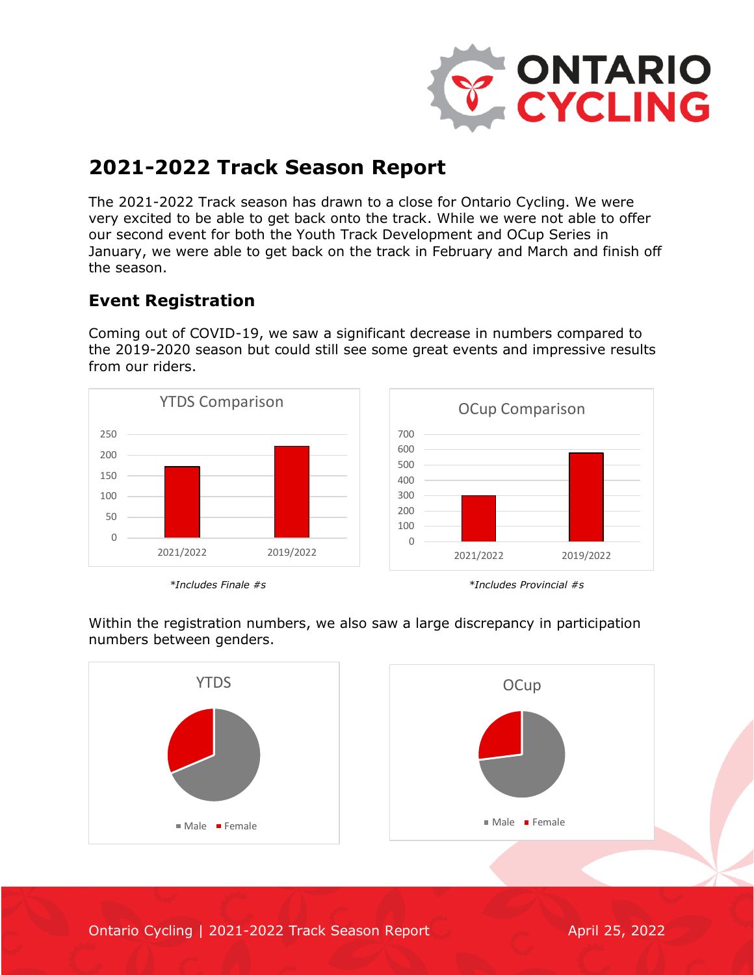

# **2021-2022 Track Season Report**

The 2021-2022 Track season has drawn to a close for Ontario Cycling. We were very excited to be able to get back onto the track. While we were not able to offer our second event for both the Youth Track Development and OCup Series in January, we were able to get back on the track in February and March and finish off the season.

## **Event Registration**

Coming out of COVID-19, we saw a significant decrease in numbers compared to the 2019-2020 season but could still see some great events and impressive results from our riders.







2021/2022 2019/2022

OCup Comparison

Within the registration numbers, we also saw a large discrepancy in participation numbers between genders.



Ontario Cycling | 2021-2022 Track Season Report April 25, 2022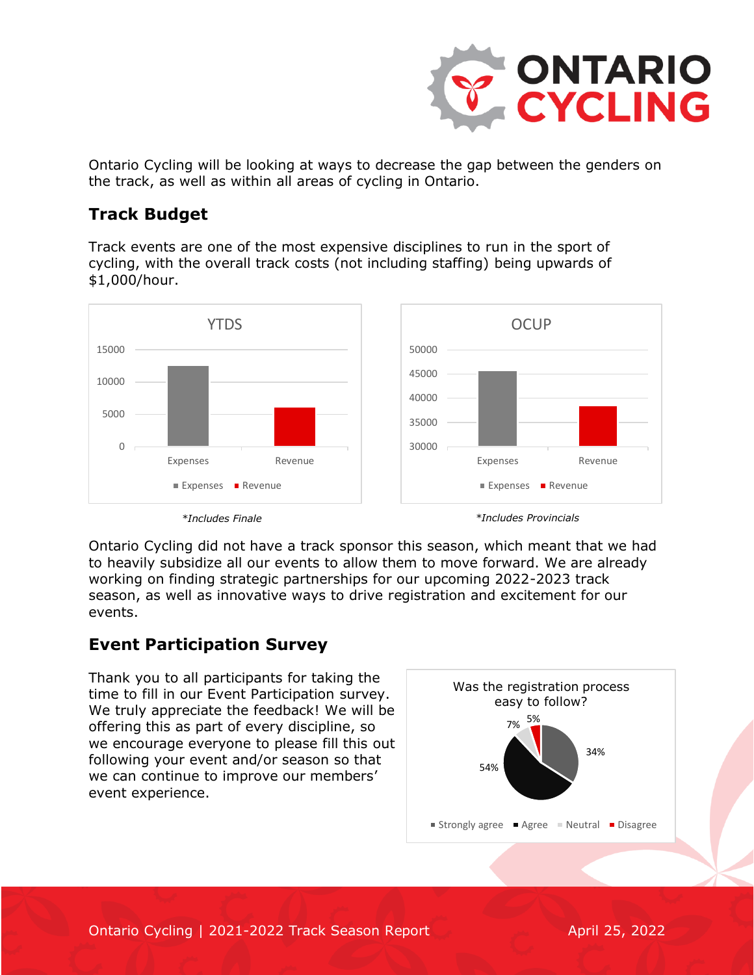

Ontario Cycling will be looking at ways to decrease the gap between the genders on the track, as well as within all areas of cycling in Ontario.

### **Track Budget**

Track events are one of the most expensive disciplines to run in the sport of cycling, with the overall track costs (not including staffing) being upwards of \$1,000/hour.



Ontario Cycling did not have a track sponsor this season, which meant that we had to heavily subsidize all our events to allow them to move forward. We are already working on finding strategic partnerships for our upcoming 2022-2023 track season, as well as innovative ways to drive registration and excitement for our events.

### **Event Participation Survey**

Thank you to all participants for taking the time to fill in our Event Participation survey. We truly appreciate the feedback! We will be offering this as part of every discipline, so we encourage everyone to please fill this out following your event and/or season so that we can continue to improve our members' event experience.

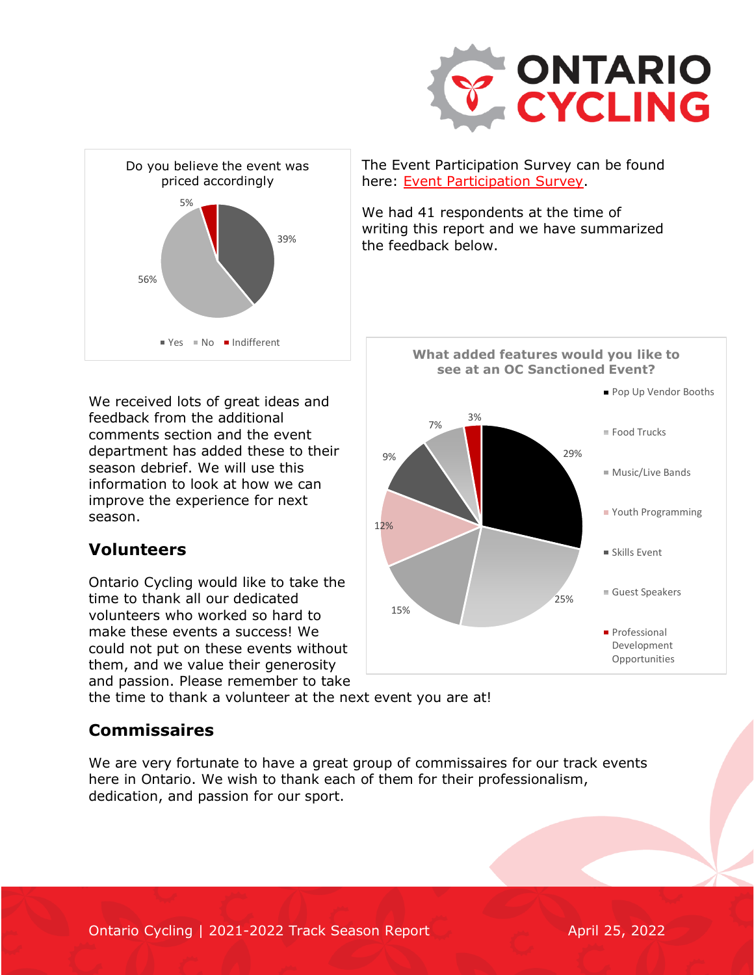



We received lots of great ideas and feedback from the additional comments section and the event department has added these to their season debrief. We will use this information to look at how we can improve the experience for next season.

### **Volunteers**

Ontario Cycling would like to take the time to thank all our dedicated volunteers who worked so hard to make these events a success! We could not put on these events without them, and we value their generosity and passion. Please remember to take

The Event Participation Survey can be found here: [Event Participation Survey.](https://forms.gle/pkViZiXMeSZmHgBt8)

We had 41 respondents at the time of writing this report and we have summarized the feedback below.



the time to thank a volunteer at the next event you are at!

### **Commissaires**

We are very fortunate to have a great group of commissaires for our track events here in Ontario. We wish to thank each of them for their professionalism, dedication, and passion for our sport.